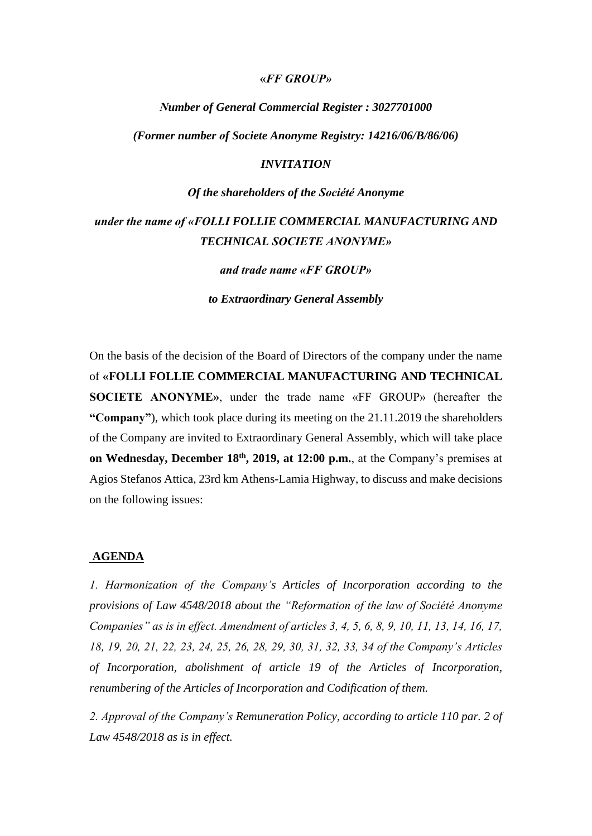#### **«***FF GROUP»*

# *Νumber of General Commercial Register : 3027701000 (Former number οf Societe Anonyme Registry: 14216/06/B/86/06)*

# *INVITATION*

# *Οf the shareholders of the Société Anonyme*

# *under the name of «FOLLI FOLLIE COMMERCIAL MANUFACTURING AND TECHNICAL SOCIETE ANONYME»*

*and trade name «FF GROUP»*

*to Extraordinary General Assembly*

On the basis of the decision of the Board of Directors of the company under the name of **«FOLLI FOLLIE COMMERCIAL MANUFACTURING AND TECHNICAL SOCIETE ANONYME»**, under the trade name «FF GROUP» (hereafter the **"Company"**), which took place during its meeting on the 21.11.2019 the shareholders of the Company are invited to Extraordinary General Assembly, which will take place **on Wednesday, December 18th , 2019, at 12:00 p.m.**, at the Company's premises at Agios Stefanos Attica, 23rd km Athens-Lamia Highway, to discuss and make decisions on the following issues:

### **AGENDA**

*1. Harmonization of the Company's Articles of Incorporation according to the provisions of Law 4548/2018 about the "Reformation of the law of Société Anonyme Companies" as is in effect. Amendment of articles 3, 4, 5, 6, 8, 9, 10, 11, 13, 14, 16, 17, 18, 19, 20, 21, 22, 23, 24, 25, 26, 28, 29, 30, 31, 32, 33, 34 of the Company's Articles of Incorporation, abolishment of article 19 of the Articles of Incorporation, renumbering of the Articles of Incorporation and Codification of them.*

*2. Approval of the Company's Remuneration Policy, according to article 110 par. 2 of Law 4548/2018 as is in effect.*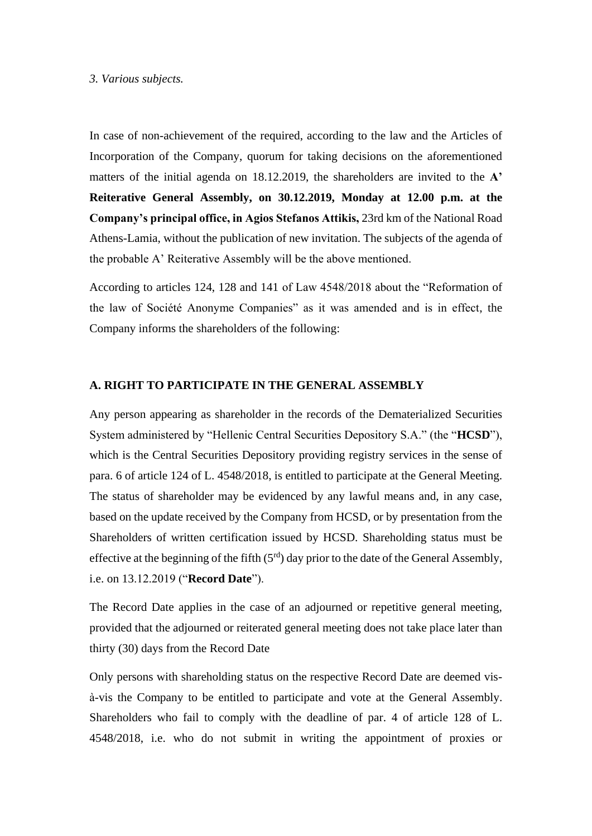#### *3. Various subjects.*

In case of non-achievement οf the required, according to the law and the Articles of Incorporation of the Company, quorum for taking decisions on the aforementioned matters of the initial agenda on 18.12.2019, the shareholders are invited to the **A' Reiterative General Assembly, on 30.12.2019, Monday at 12.00 p.m. at the Company's principal office, in Agios Stefanos Attikis,** 23rd km of the National Road Athens-Lamia, without the publication of new invitation. The subjects of the agenda of the probable A' Reiterative Assembly will be the above mentioned.

According to articles 124, 128 and 141 οf Law 4548/2018 about the "Reformation of the law of Société Anonyme Companies" as it was amended and is in effect, the Company informs the shareholders of the following:

# **A. RIGHT TO PARTICIPATE IN THE GENERAL ASSEMBLY**

Any person appearing as shareholder in the records of the Dematerialized Securities System administered by "Hellenic Central Securities Depository S.A." (the "**HCSD**"), which is the Central Securities Depository providing registry services in the sense of para. 6 of article 124 of L. 4548/2018, is entitled to participate at the General Meeting. The status of shareholder may be evidenced by any lawful means and, in any case, based on the update received by the Company from HCSD, or by presentation from the Shareholders of written certification issued by HCSD. Shareholding status must be effective at the beginning of the fifth  $(5<sup>rd</sup>)$  day prior to the date of the General Assembly, i.e. on 13.12.2019 ("**Record Date**").

The Record Date applies in the case of an adjourned or repetitive general meeting, provided that the adjourned or reiterated general meeting does not take place later than thirty (30) days from the Record Date

Only persons with shareholding status on the respective Record Date are deemed visà-vis the Company to be entitled to participate and vote at the General Assembly. Shareholders who fail to comply with the deadline of par. 4 of article 128 of L. 4548/2018, i.e. who do not submit in writing the appointment of proxies or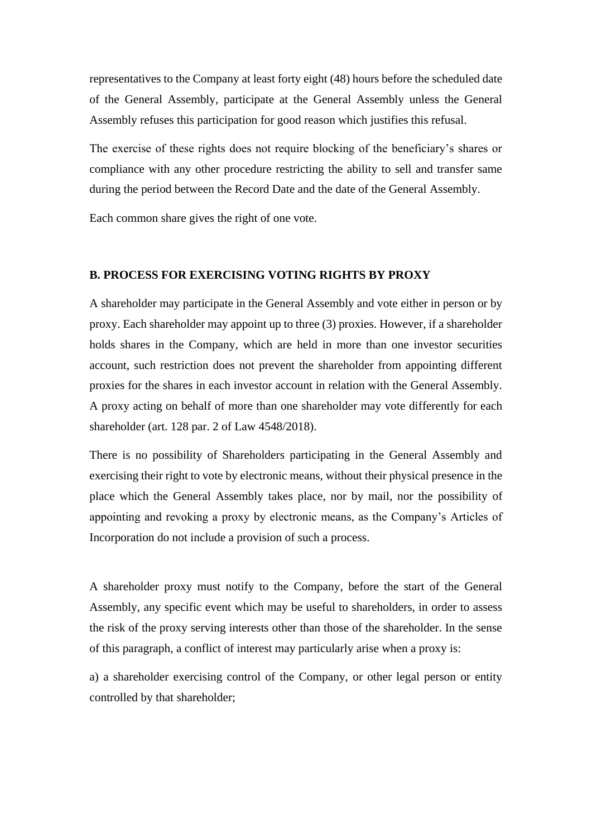representatives to the Company at least forty eight (48) hours before the scheduled date of the General Assembly, participate at the General Assembly unless the General Assembly refuses this participation for good reason which justifies this refusal.

The exercise of these rights does not require blocking of the beneficiary's shares or compliance with any other procedure restricting the ability to sell and transfer same during the period between the Record Date and the date of the General Assembly.

Each common share gives the right of one vote.

## **B. PROCESS FOR EXERCISING VOTING RIGHTS BY PROXY**

A shareholder may participate in the General Assembly and vote either in person or by proxy. Each shareholder may appoint up to three (3) proxies. However, if a shareholder holds shares in the Company, which are held in more than one investor securities account, such restriction does not prevent the shareholder from appointing different proxies for the shares in each investor account in relation with the General Assembly. A proxy acting on behalf of more than one shareholder may vote differently for each shareholder (art. 128 par. 2 of Law 4548/2018).

There is no possibility of Shareholders participating in the General Assembly and exercising their right to vote by electronic means, without their physical presence in the place which the General Assembly takes place, nor by mail, nor the possibility of appointing and revoking a proxy by electronic means, as the Company's Articles of Incorporation do not include a provision of such a process.

A shareholder proxy must notify to the Company, before the start of the General Assembly, any specific event which may be useful to shareholders, in order to assess the risk of the proxy serving interests other than those of the shareholder. In the sense of this paragraph, a conflict of interest may particularly arise when a proxy is:

a) a shareholder exercising control of the Company, or other legal person or entity controlled by that shareholder;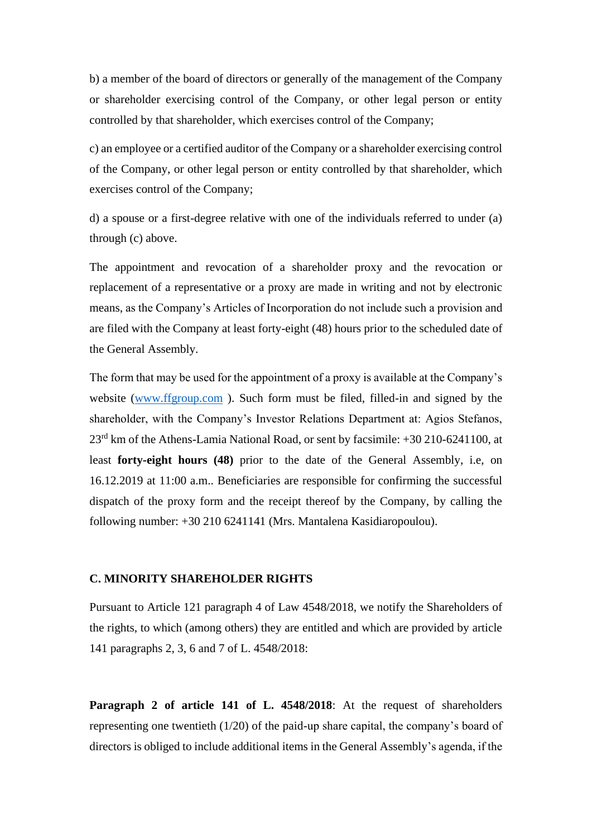b) a member of the board of directors or generally of the management of the Company or shareholder exercising control of the Company, or other legal person or entity controlled by that shareholder, which exercises control of the Company;

c) an employee or a certified auditor of the Company or a shareholder exercising control of the Company, or other legal person or entity controlled by that shareholder, which exercises control of the Company;

d) a spouse or a first-degree relative with one of the individuals referred to under (a) through (c) above.

The appointment and revocation of a shareholder proxy and the revocation or replacement of a representative or a proxy are made in writing and not by electronic means, as the Company's Articles of Incorporation do not include such a provision and are filed with the Company at least forty-eight (48) hours prior to the scheduled date of the General Assembly.

The form that may be used for the appointment of a proxy is available at the Company's website [\(www.ffgroup.com](http://www.ffgroup.com/)). Such form must be filed, filled-in and signed by the shareholder, with the Company's Investor Relations Department at: Agios Stefanos, 23rd km of the Athens-Lamia National Road, or sent by facsimile: +30 210-6241100, at least **forty-eight hours (48)** prior to the date of the General Assembly, i.e, on 16.12.2019 at 11:00 a.m.. Beneficiaries are responsible for confirming the successful dispatch of the proxy form and the receipt thereof by the Company, by calling the following number: +30 210 6241141 (Mrs. Mantalena Kasidiaropoulou).

# **C. MINORITY SHAREHOLDER RIGHTS**

Pursuant to Article 121 paragraph 4 of Law 4548/2018, we notify the Shareholders of the rights, to which (among others) they are entitled and which are provided by article 141 paragraphs 2, 3, 6 and 7 of L. 4548/2018:

**Paragraph 2 of article 141 of L. 4548/2018**: At the request of shareholders representing one twentieth (1/20) of the paid-up share capital, the company's board of directors is obliged to include additional items in the General Assembly's agenda, if the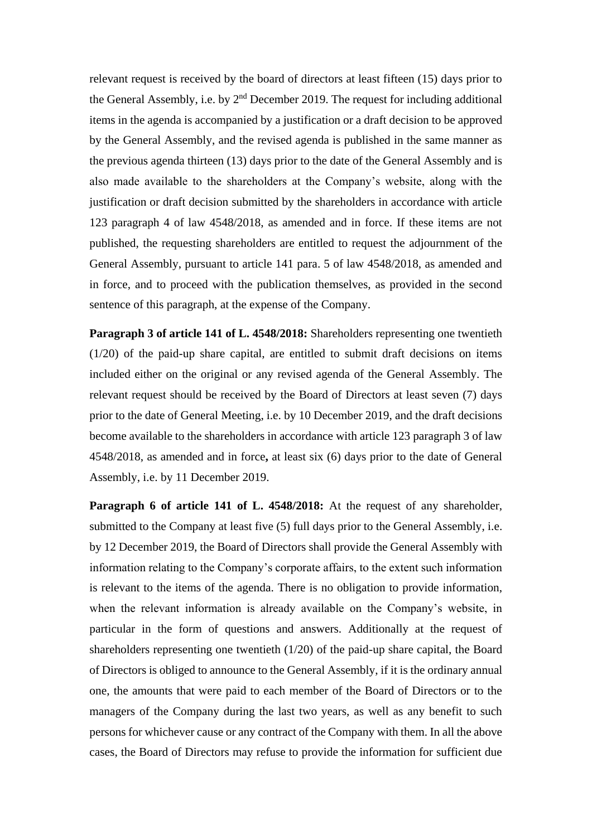relevant request is received by the board of directors at least fifteen (15) days prior to the General Assembly, i.e. by  $2<sup>nd</sup>$  December 2019. The request for including additional items in the agenda is accompanied by a justification or a draft decision to be approved by the General Assembly, and the revised agenda is published in the same manner as the previous agenda thirteen (13) days prior to the date of the General Assembly and is also made available to the shareholders at the Company's website, along with the justification or draft decision submitted by the shareholders in accordance with article 123 paragraph 4 of law 4548/2018, as amended and in force. If these items are not published, the requesting shareholders are entitled to request the adjournment of the General Assembly, pursuant to article 141 para. 5 of law 4548/2018, as amended and in force, and to proceed with the publication themselves, as provided in the second sentence of this paragraph, at the expense of the Company.

**Paragraph 3 of article 141 of L. 4548/2018:** Shareholders representing one twentieth (1/20) of the paid-up share capital, are entitled to submit draft decisions on items included either on the original or any revised agenda of the General Assembly. The relevant request should be received by the Board of Directors at least seven (7) days prior to the date of General Meeting, i.e. by 10 December 2019, and the draft decisions become available to the shareholders in accordance with article 123 paragraph 3 of law 4548/2018, as amended and in force**,** at least six (6) days prior to the date of General Assembly, i.e. by 11 December 2019.

**Paragraph 6 of article 141 of L. 4548/2018:** At the request of any shareholder, submitted to the Company at least five (5) full days prior to the General Assembly, i.e. by 12 December 2019, the Board of Directors shall provide the General Assembly with information relating to the Company's corporate affairs, to the extent such information is relevant to the items of the agenda. There is no obligation to provide information, when the relevant information is already available on the Company's website, in particular in the form of questions and answers. Additionally at the request of shareholders representing one twentieth (1/20) of the paid-up share capital, the Board of Directors is obliged to announce to the General Assembly, if it is the ordinary annual one, the amounts that were paid to each member of the Board of Directors or to the managers of the Company during the last two years, as well as any benefit to such persons for whichever cause or any contract of the Company with them. In all the above cases, the Board of Directors may refuse to provide the information for sufficient due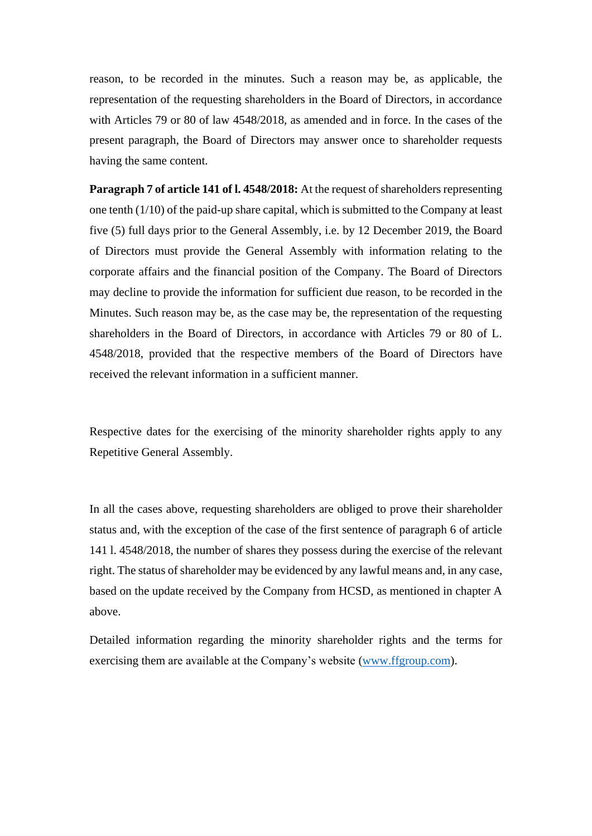reason, to be recorded in the minutes. Such a reason may be, as applicable, the representation of the requesting shareholders in the Board of Directors, in accordance with Articles 79 or 80 of law 4548/2018, as amended and in force. In the cases of the present paragraph, the Board of Directors may answer once to shareholder requests having the same content.

**Paragraph 7 of article 141 of l. 4548/2018:** At the request of shareholders representing one tenth (1/10) of the paid-up share capital, which is submitted to the Company at least five (5) full days prior to the General Assembly, i.e. by 12 December 2019, the Board of Directors must provide the General Assembly with information relating to the corporate affairs and the financial position of the Company. The Board of Directors may decline to provide the information for sufficient due reason, to be recorded in the Minutes. Such reason may be, as the case may be, the representation of the requesting shareholders in the Board of Directors, in accordance with Articles 79 or 80 of L. 4548/2018, provided that the respective members of the Board of Directors have received the relevant information in a sufficient manner.

Respective dates for the exercising of the minority shareholder rights apply to any Repetitive General Assembly.

In all the cases above, requesting shareholders are obliged to prove their shareholder status and, with the exception of the case of the first sentence of paragraph 6 of article 141 l. 4548/2018, the number of shares they possess during the exercise of the relevant right. The status of shareholder may be evidenced by any lawful means and, in any case, based on the update received by the Company from HCSD, as mentioned in chapter A above.

Detailed information regarding the minority shareholder rights and the terms for exercising them are available at the Company's website [\(www.ffgroup.com\)](http://www.ffgroup.com/).